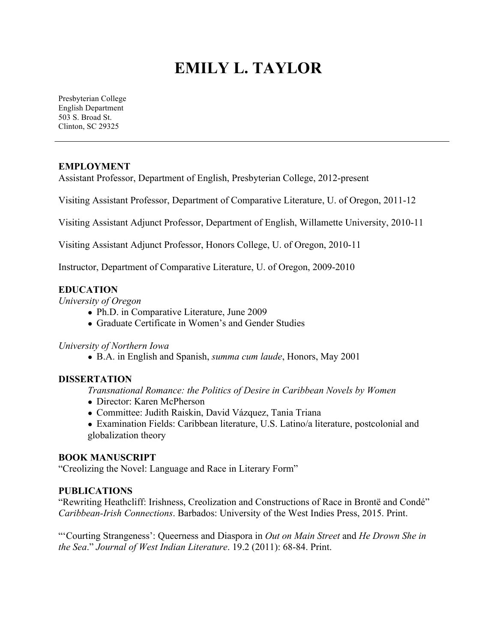# **EMILY L. TAYLOR**

Presbyterian College English Department 503 S. Broad St. Clinton, SC 29325

# **EMPLOYMENT**

Assistant Professor, Department of English, Presbyterian College, 2012-present

Visiting Assistant Professor, Department of Comparative Literature, U. of Oregon, 2011-12

Visiting Assistant Adjunct Professor, Department of English, Willamette University, 2010-11

Visiting Assistant Adjunct Professor, Honors College, U. of Oregon, 2010-11

Instructor, Department of Comparative Literature, U. of Oregon, 2009-2010

# **EDUCATION**

*University of Oregon*

- Ph.D. in Comparative Literature, June 2009
- Graduate Certificate in Women's and Gender Studies

## *University of Northern Iowa*

**●** B.A. in English and Spanish, *summa cum laude*, Honors, May 2001

# **DISSERTATION**

*Transnational Romance: the Politics of Desire in Caribbean Novels by Women*

- **●** Director: Karen McPherson
- Committee: Judith Raiskin, David Vázquez, Tania Triana
- Examination Fields: Caribbean literature, U.S. Latino/a literature, postcolonial and globalization theory

# **BOOK MANUSCRIPT**

"Creolizing the Novel: Language and Race in Literary Form"

## **PUBLICATIONS**

"Rewriting Heathcliff: Irishness, Creolization and Constructions of Race in Brontë and Condé" *Caribbean-Irish Connections*. Barbados: University of the West Indies Press, 2015. Print.

"'Courting Strangeness': Queerness and Diaspora in *Out on Main Street* and *He Drown She in the Sea*." *Journal of West Indian Literature*. 19.2 (2011): 68-84. Print.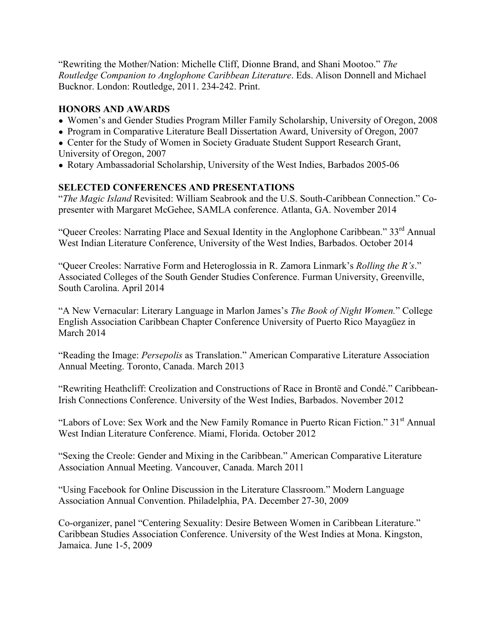"Rewriting the Mother/Nation: Michelle Cliff, Dionne Brand, and Shani Mootoo." *The Routledge Companion to Anglophone Caribbean Literature*. Eds. Alison Donnell and Michael Bucknor. London: Routledge, 2011. 234-242. Print.

# **HONORS AND AWARDS**

- Women's and Gender Studies Program Miller Family Scholarship, University of Oregon, 2008
- Program in Comparative Literature Beall Dissertation Award, University of Oregon, 2007

• Center for the Study of Women in Society Graduate Student Support Research Grant, University of Oregon, 2007

● Rotary Ambassadorial Scholarship, University of the West Indies, Barbados 2005-06

# **SELECTED CONFERENCES AND PRESENTATIONS**

"*The Magic Island* Revisited: William Seabrook and the U.S. South-Caribbean Connection." Copresenter with Margaret McGehee, SAMLA conference. Atlanta, GA. November 2014

"Queer Creoles: Narrating Place and Sexual Identity in the Anglophone Caribbean." 33<sup>rd</sup> Annual West Indian Literature Conference, University of the West Indies, Barbados. October 2014

"Queer Creoles: Narrative Form and Heteroglossia in R. Zamora Linmark's *Rolling the R's*." Associated Colleges of the South Gender Studies Conference. Furman University, Greenville, South Carolina. April 2014

"A New Vernacular: Literary Language in Marlon James's *The Book of Night Women.*" College English Association Caribbean Chapter Conference University of Puerto Rico Mayagüez in March 2014

"Reading the Image: *Persepolis* as Translation." American Comparative Literature Association Annual Meeting. Toronto, Canada. March 2013

"Rewriting Heathcliff: Creolization and Constructions of Race in Brontë and Condé." Caribbean-Irish Connections Conference. University of the West Indies, Barbados. November 2012

"Labors of Love: Sex Work and the New Family Romance in Puerto Rican Fiction." 31<sup>st</sup> Annual West Indian Literature Conference. Miami, Florida. October 2012

"Sexing the Creole: Gender and Mixing in the Caribbean." American Comparative Literature Association Annual Meeting. Vancouver, Canada. March 2011

"Using Facebook for Online Discussion in the Literature Classroom." Modern Language Association Annual Convention. Philadelphia, PA. December 27-30, 2009

Co-organizer, panel "Centering Sexuality: Desire Between Women in Caribbean Literature." Caribbean Studies Association Conference. University of the West Indies at Mona. Kingston, Jamaica. June 1-5, 2009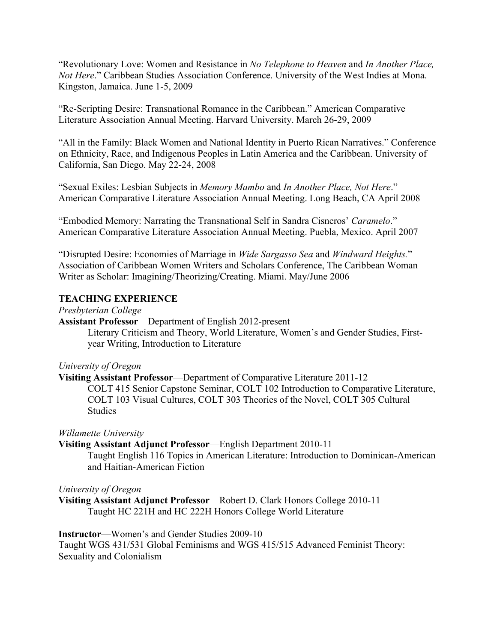"Revolutionary Love: Women and Resistance in *No Telephone to Heaven* and *In Another Place, Not Here*." Caribbean Studies Association Conference. University of the West Indies at Mona. Kingston, Jamaica. June 1-5, 2009

"Re-Scripting Desire: Transnational Romance in the Caribbean." American Comparative Literature Association Annual Meeting. Harvard University. March 26-29, 2009

"All in the Family: Black Women and National Identity in Puerto Rican Narratives." Conference on Ethnicity, Race, and Indigenous Peoples in Latin America and the Caribbean. University of California, San Diego. May 22-24, 2008

"Sexual Exiles: Lesbian Subjects in *Memory Mambo* and *In Another Place, Not Here*." American Comparative Literature Association Annual Meeting. Long Beach, CA April 2008

"Embodied Memory: Narrating the Transnational Self in Sandra Cisneros' *Caramelo*." American Comparative Literature Association Annual Meeting. Puebla, Mexico. April 2007

"Disrupted Desire: Economies of Marriage in *Wide Sargasso Sea* and *Windward Heights.*" Association of Caribbean Women Writers and Scholars Conference, The Caribbean Woman Writer as Scholar: Imagining/Theorizing/Creating. Miami. May/June 2006

# **TEACHING EXPERIENCE**

*Presbyterian College*

**Assistant Professor**—Department of English 2012-present

Literary Criticism and Theory, World Literature, Women's and Gender Studies, Firstyear Writing, Introduction to Literature

## *University of Oregon*

**Visiting Assistant Professor**—Department of Comparative Literature 2011-12 COLT 415 Senior Capstone Seminar, COLT 102 Introduction to Comparative Literature, COLT 103 Visual Cultures, COLT 303 Theories of the Novel, COLT 305 Cultural Studies

*Willamette University*

**Visiting Assistant Adjunct Professor**—English Department 2010-11

Taught English 116 Topics in American Literature: Introduction to Dominican-American and Haitian-American Fiction

*University of Oregon*

**Visiting Assistant Adjunct Professor**—Robert D. Clark Honors College 2010-11 Taught HC 221H and HC 222H Honors College World Literature

## **Instructor**—Women's and Gender Studies 2009-10

Taught WGS 431/531 Global Feminisms and WGS 415/515 Advanced Feminist Theory: Sexuality and Colonialism